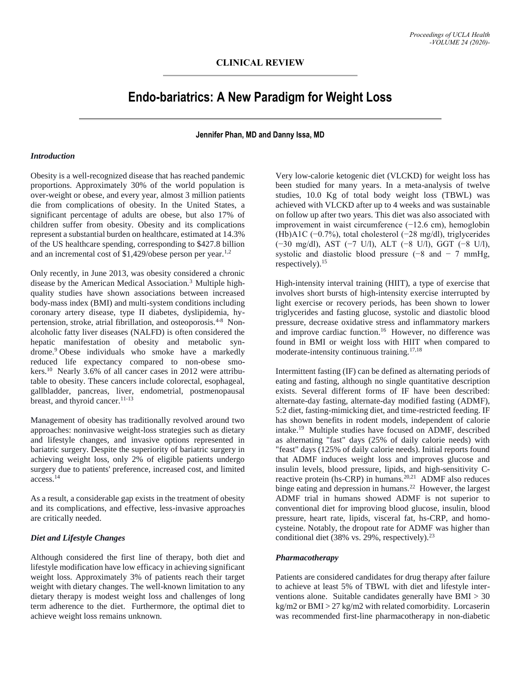# **Endo-bariatrics: A New Paradigm for Weight Loss**

**Jennifer Phan, MD and Danny Issa, MD**

#### *Introduction*

Obesity is a well-recognized disease that has reached pandemic proportions. Approximately 30% of the world population is over-weight or obese, and every year, almost 3 million patients die from complications of obesity. In the United States, a significant percentage of adults are obese, but also 17% of children suffer from obesity. Obesity and its complications represent a substantial burden on healthcare, estimated at 14.3% of the US healthcare spending, corresponding to \$427.8 billion and an incremental cost of  $$1,429$ /obese person per year.<sup>1,2</sup>

Only recently, in June 2013, was obesity considered a chronic disease by the American Medical Association.3 Multiple highquality studies have shown associations between increased body-mass index (BMI) and multi-system conditions including coronary artery disease, type II diabetes, dyslipidemia, hypertension, stroke, atrial fibrillation, and osteoporosis.4-8 Nonalcoholic fatty liver diseases (NALFD) is often considered the hepatic manifestation of obesity and metabolic syndrome.<sup>9</sup> Obese individuals who smoke have a markedly reduced life expectancy compared to non-obese smokers.<sup>10</sup> Nearly 3.6% of all cancer cases in 2012 were attributable to obesity. These cancers include colorectal, esophageal, gallbladder, pancreas, liver, endometrial, postmenopausal breast, and thyroid cancer.<sup>11-13</sup>

Management of obesity has traditionally revolved around two approaches: noninvasive weight-loss strategies such as dietary and lifestyle changes, and invasive options represented in bariatric surgery. Despite the superiority of bariatric surgery in achieving weight loss, only 2% of eligible patients undergo surgery due to patients' preference, increased cost, and limited access.<sup>14</sup>

As a result, a considerable gap exists in the treatment of obesity and its complications, and effective, less-invasive approaches are critically needed.

# *Diet and Lifestyle Changes*

Although considered the first line of therapy, both diet and lifestyle modification have low efficacy in achieving significant weight loss. Approximately 3% of patients reach their target weight with dietary changes. The well-known limitation to any dietary therapy is modest weight loss and challenges of long term adherence to the diet. Furthermore, the optimal diet to achieve weight loss remains unknown.

Very low-calorie ketogenic diet (VLCKD) for weight loss has been studied for many years. In a meta-analysis of twelve studies, 10.0 Kg of total body weight loss (TBWL) was achieved with VLCKD after up to 4 weeks and was sustainable on follow up after two years. This diet was also associated with improvement in waist circumference (−12.6 cm), hemoglobin (Hb)A1C (−0.7%), total cholesterol (−28 mg/dl), triglycerides (−30 mg/dl), AST (−7 U/l), ALT (−8 U/l), GGT (−8 U/l), systolic and diastolic blood pressure  $(-8 \text{ and } -7 \text{ mmHg})$ , respectively).<sup>15</sup>

High-intensity interval training (HIIT), a type of exercise that involves short bursts of high-intensity exercise interrupted by light exercise or recovery periods, has been shown to lower triglycerides and fasting glucose, systolic and diastolic blood pressure, decrease oxidative stress and inflammatory markers and improve cardiac function.<sup>16</sup> However, no difference was found in BMI or weight loss with HIIT when compared to moderate-intensity continuous training.17,18

Intermittent fasting (IF) can be defined as alternating periods of eating and fasting, although no single quantitative description exists. Several different forms of IF have been described: alternate-day fasting, alternate-day modified fasting (ADMF), 5:2 diet, fasting-mimicking diet, and time-restricted feeding. IF has shown benefits in rodent models, independent of calorie intake.<sup>19</sup> Multiple studies have focused on ADMF, described as alternating "fast" days (25% of daily calorie needs) with "feast" days (125% of daily calorie needs). Initial reports found that ADMF induces weight loss and improves glucose and insulin levels, blood pressure, lipids, and high-sensitivity Creactive protein (hs-CRP) in humans.<sup>20,21</sup> ADMF also reduces binge eating and depression in humans.<sup>22</sup> However, the largest ADMF trial in humans showed ADMF is not superior to conventional diet for improving blood glucose, insulin, blood pressure, heart rate, lipids, visceral fat, hs-CRP, and homocysteine. Notably, the dropout rate for ADMF was higher than conditional diet (38% vs. 29%, respectively).<sup>23</sup>

# *Pharmacotherapy*

Patients are considered candidates for drug therapy after failure to achieve at least 5% of TBWL with diet and lifestyle interventions alone. Suitable candidates generally have BMI > 30 kg/m2 or BMI > 27 kg/m2 with related comorbidity. Lorcaserin was recommended first-line pharmacotherapy in non-diabetic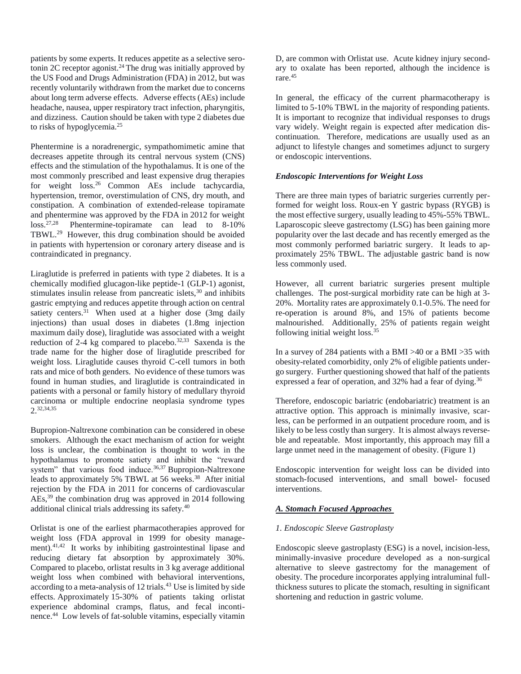patients by some experts. It reduces appetite as a selective serotonin 2C receptor agonist.<sup>24</sup> The drug was initially approved by the US Food and Drugs Administration (FDA) in 2012, but was recently voluntarily withdrawn from the market due to concerns about long term adverse effects. Adverse effects (AEs) include headache, nausea, upper respiratory tract infection, pharyngitis, and dizziness. Caution should be taken with type 2 diabetes due to risks of hypoglycemia.<sup>25</sup>

Phentermine is a noradrenergic, sympathomimetic amine that decreases appetite through its central nervous system (CNS) effects and the stimulation of the hypothalamus. It is one of the most commonly prescribed and least expensive drug therapies for weight loss.<sup>26</sup> Common AEs include tachycardia, hypertension, tremor, overstimulation of CNS, dry mouth, and constipation. A combination of extended-release topiramate and phentermine was approved by the FDA in 2012 for weight loss.<sup>27,28</sup> Phentermine-topiramate can lead to 8-10% TBWL.<sup>29</sup> However, this drug combination should be avoided in patients with hypertension or coronary artery disease and is contraindicated in pregnancy.

Liraglutide is preferred in patients with type 2 diabetes. It is a chemically modified glucagon-like peptide-1 (GLP-1) agonist, stimulates insulin release from pancreatic islets,<sup>30</sup> and inhibits gastric emptying and reduces appetite through action on central satiety centers. $31$  When used at a higher dose (3mg daily injections) than usual doses in diabetes (1.8mg injection maximum daily dose), liraglutide was associated with a weight reduction of  $2-4$  kg compared to placebo.<sup>32,33</sup> Saxenda is the trade name for the higher dose of liraglutide prescribed for weight loss. Liraglutide causes thyroid C-cell tumors in both rats and mice of both genders. No evidence of these tumors was found in human studies, and liraglutide is contraindicated in patients with a personal or family history of medullary thyroid carcinoma or multiple endocrine neoplasia syndrome types 2.32,34,35

Bupropion-Naltrexone combination can be considered in obese smokers. Although the exact mechanism of action for weight loss is unclear, the combination is thought to work in the hypothalamus to promote satiety and inhibit the "reward system" that various food induce.<sup>36,37</sup> Bupropion-Naltrexone leads to approximately 5% TBWL at 56 weeks.<sup>38</sup> After initial rejection by the FDA in 2011 for concerns of cardiovascular AEs,<sup>39</sup> the combination drug was approved in 2014 following additional clinical trials addressing its safety.<sup>40</sup>

Orlistat is one of the earliest pharmacotherapies approved for weight loss (FDA approval in 1999 for obesity management).<sup>41,42</sup> It works by inhibiting gastrointestinal lipase and reducing dietary fat absorption by approximately 30%. Compared to placebo, orlistat results in 3 kg average additional weight loss when combined with behavioral interventions, according to a meta-analysis of 12 trials.<sup>43</sup> Use is limited by side effects. Approximately 15-30% of patients taking orlistat experience abdominal cramps, flatus, and fecal incontinence.<sup>44</sup> Low levels of fat-soluble vitamins, especially vitamin

D, are common with Orlistat use. Acute kidney injury secondary to oxalate has been reported, although the incidence is rare.<sup>45</sup>

In general, the efficacy of the current pharmacotherapy is limited to 5-10% TBWL in the majority of responding patients. It is important to recognize that individual responses to drugs vary widely. Weight regain is expected after medication discontinuation. Therefore, medications are usually used as an adjunct to lifestyle changes and sometimes adjunct to surgery or endoscopic interventions.

# *Endoscopic Interventions for Weight Loss*

There are three main types of bariatric surgeries currently performed for weight loss. Roux-en Y gastric bypass (RYGB) is the most effective surgery, usually leading to 45%-55% TBWL. Laparoscopic sleeve gastrectomy (LSG) has been gaining more popularity over the last decade and has recently emerged as the most commonly performed bariatric surgery. It leads to approximately 25% TBWL. The adjustable gastric band is now less commonly used.

However, all current bariatric surgeries present multiple challenges. The post-surgical morbidity rate can be high at 3- 20%. Mortality rates are approximately 0.1-0.5%. The need for re-operation is around 8%, and 15% of patients become malnourished. Additionally, 25% of patients regain weight following initial weight loss.<sup>35</sup>

In a survey of 284 patients with a BMI >40 or a BMI >35 with obesity-related comorbidity, only 2% of eligible patients undergo surgery. Further questioning showed that half of the patients expressed a fear of operation, and 32% had a fear of dying.<sup>36</sup>

Therefore, endoscopic bariatric (endobariatric) treatment is an attractive option. This approach is minimally invasive, scarless, can be performed in an outpatient procedure room, and is likely to be less costly than surgery. It is almost always reverseble and repeatable. Most importantly, this approach may fill a large unmet need in the management of obesity. (Figure 1)

Endoscopic intervention for weight loss can be divided into stomach-focused interventions, and small bowel- focused interventions.

# *A. Stomach Focused Approaches*

# *1. Endoscopic Sleeve Gastroplasty*

Endoscopic sleeve gastroplasty (ESG) is a novel, incision-less, minimally-invasive procedure developed as a non-surgical alternative to sleeve gastrectomy for the management of obesity. The procedure incorporates applying intraluminal fullthickness sutures to plicate the stomach, resulting in significant shortening and reduction in gastric volume.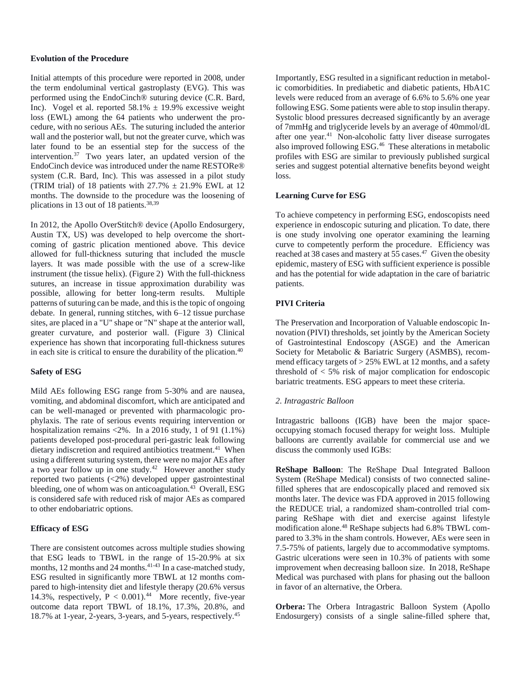## **Evolution of the Procedure**

Initial attempts of this procedure were reported in 2008, under the term endoluminal vertical gastroplasty (EVG). This was performed using the EndoCinch® suturing device (C.R. Bard, Inc). Vogel et al. reported  $58.1\% \pm 19.9\%$  excessive weight loss (EWL) among the 64 patients who underwent the procedure, with no serious AEs. The suturing included the anterior wall and the posterior wall, but not the greater curve, which was later found to be an essential step for the success of the intervention. $37$  Two years later, an updated version of the EndoCinch device was introduced under the name RESTORe® system (C.R. Bard, Inc). This was assessed in a pilot study (TRIM trial) of 18 patients with  $27.7\% \pm 21.9\%$  EWL at 12 months. The downside to the procedure was the loosening of plications in 13 out of 18 patients.38,39

In 2012, the Apollo OverStitch® device (Apollo Endosurgery, Austin TX, US) was developed to help overcome the shortcoming of gastric plication mentioned above. This device allowed for full-thickness suturing that included the muscle layers. It was made possible with the use of a screw-like instrument (the tissue helix). (Figure 2) With the full-thickness sutures, an increase in tissue approximation durability was possible, allowing for better long-term results. Multiple patterns of suturing can be made, and this is the topic of ongoing debate. In general, running stitches, with 6–12 tissue purchase sites, are placed in a "U" shape or "N" shape at the anterior wall, greater curvature, and posterior wall. (Figure 3) Clinical experience has shown that incorporating full-thickness sutures in each site is critical to ensure the durability of the plication.<sup>40</sup>

# **Safety of ESG**

Mild AEs following ESG range from 5-30% and are nausea, vomiting, and abdominal discomfort, which are anticipated and can be well-managed or prevented with pharmacologic prophylaxis. The rate of serious events requiring intervention or hospitalization remains <2%. In a 2016 study, 1 of 91 (1.1%) patients developed post-procedural peri-gastric leak following dietary indiscretion and required antibiotics treatment.<sup>41</sup> When using a different suturing system, there were no major AEs after a two year follow up in one study.<sup>42</sup> However another study reported two patients (<2%) developed upper gastrointestinal bleeding, one of whom was on anticoagulation. $43$  Overall, ESG is considered safe with reduced risk of major AEs as compared to other endobariatric options.

## **Efficacy of ESG**

There are consistent outcomes across multiple studies showing that ESG leads to TBWL in the range of 15-20.9% at six months, 12 months and 24 months.<sup>41-43</sup> In a case-matched study, ESG resulted in significantly more TBWL at 12 months compared to high-intensity diet and lifestyle therapy (20.6% versus 14.3%, respectively,  $P < 0.001$ ).<sup>44</sup> More recently, five-year outcome data report TBWL of 18.1%, 17.3%, 20.8%, and 18.7% at 1-year, 2-years, 3-years, and 5-years, respectively.<sup>45</sup>

Importantly, ESG resulted in a significant reduction in metabolic comorbidities. In prediabetic and diabetic patients, HbA1C levels were reduced from an average of 6.6% to 5.6% one year following ESG. Some patients were able to stop insulin therapy. Systolic blood pressures decreased significantly by an average of 7mmHg and triglyceride levels by an average of 40mmol/dL after one year.<sup>41</sup> Non-alcoholic fatty liver disease surrogates also improved following ESG.<sup>46</sup> These alterations in metabolic profiles with ESG are similar to previously published surgical series and suggest potential alternative benefits beyond weight loss.

## **Learning Curve for ESG**

To achieve competency in performing ESG, endoscopists need experience in endoscopic suturing and plication. To date, there is one study involving one operator examining the learning curve to competently perform the procedure. Efficiency was reached at 38 cases and mastery at 55 cases.<sup>47</sup> Given the obesity epidemic, mastery of ESG with sufficient experience is possible and has the potential for wide adaptation in the care of bariatric patients.

# **PIVI Criteria**

The Preservation and Incorporation of Valuable endoscopic Innovation (PIVI) thresholds, set jointly by the American Society of Gastrointestinal Endoscopy (ASGE) and the American Society for Metabolic & Bariatric Surgery (ASMBS), recommend efficacy targets of  $> 25\%$  EWL at 12 months, and a safety threshold of < 5% risk of major complication for endoscopic bariatric treatments. ESG appears to meet these criteria.

#### *2. Intragastric Balloon*

Intragastric balloons (IGB) have been the major spaceoccupying stomach focused therapy for weight loss. Multiple balloons are currently available for commercial use and we discuss the commonly used IGBs:

**ReShape Balloon**: The ReShape Dual Integrated Balloon System (ReShape Medical) consists of two connected salinefilled spheres that are endoscopically placed and removed six months later. The device was FDA approved in 2015 following the REDUCE trial, a randomized sham-controlled trial comparing ReShape with diet and exercise against lifestyle modification alone.<sup>48</sup> ReShape subjects had 6.8% TBWL compared to 3.3% in the sham controls. However, AEs were seen in 7.5-75% of patients, largely due to accommodative symptoms. Gastric ulcerations were seen in 10.3% of patients with some improvement when decreasing balloon size. In 2018, ReShape Medical was purchased with plans for phasing out the balloon in favor of an alternative, the Orbera.

**Orbera:** The Orbera Intragastric Balloon System (Apollo Endosurgery) consists of a single saline-filled sphere that,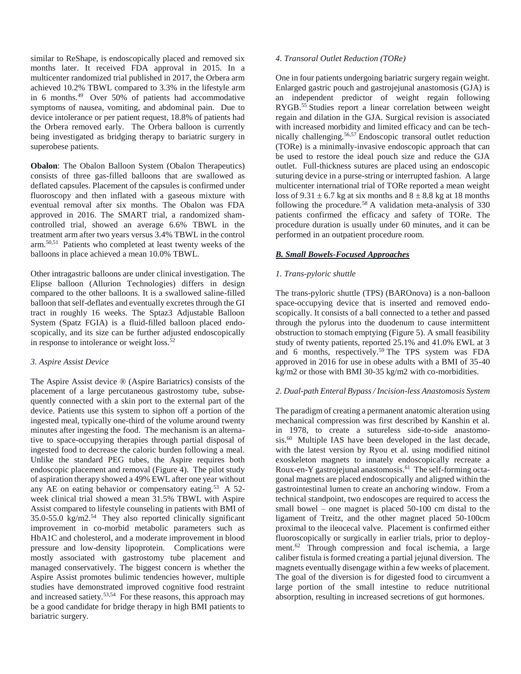similar to ReShape, is endoscopically placed and removed six months later. It received FDA approval in 2015. In a multicenter randomized trial published in 2017, the Orbera arm achieved 10.2% TBWL compared to 3.3% in the lifestyle arm in 6 months. $49$  Over 50% of patients had accommodative symptoms of nausea, vomiting, and abdominal pain. Due to device intolerance or per patient request, 18.8% of patients had the Orbera removed early. The Orbera balloon is currently being investigated as bridging therapy to bariatric surgery in superobese patients.

**Obalon**: The Obalon Balloon System (Obalon Therapeutics) consists of three gas-filled balloons that are swallowed as deflated capsules. Placement of the capsules is confirmed under fluoroscopy and then inflated with a gaseous mixture with eventual removal after six months. The Obalon was FDA approved in 2016. The SMART trial, a randomized shamcontrolled trial, showed an average 6.6% TBWL in the treatment arm after two years versus 3.4% TBWL in the control arm.50,51 Patients who completed at least twenty weeks of the balloons in place achieved a mean 10.0% TBWL.

Other intragastric balloons are under clinical investigation. The Elipse balloon (Allurion Technologies) differs in design compared to the other balloons. It is a swallowed saline-filled balloon that self-deflates and eventually excretes through the GI tract in roughly 16 weeks. The Sptaz3 Adjustable Balloon System (Spatz FGIA) is a fluid-filled balloon placed endoscopically, and its size can be further adjusted endoscopically in response to intolerance or weight loss. $52$ 

# *3. Aspire Assist Device*

The Aspire Assist device ® (Aspire Bariatrics) consists of the placement of a large percutaneous gastrostomy tube, subsequently connected with a skin port to the external part of the device. Patients use this system to siphon off a portion of the ingested meal, typically one-third of the volume around twenty minutes after ingesting the food. The mechanism is an alternative to space-occupying therapies through partial disposal of ingested food to decrease the caloric burden following a meal. Unlike the standard PEG tubes, the Aspire requires both endoscopic placement and removal (Figure 4). The pilot study of aspiration therapy showed a 49% EWL after one year without any AE on eating behavior or compensatory eating.<sup>53</sup> A 52 week clinical trial showed a mean 31.5% TBWL with Aspire Assist compared to lifestyle counseling in patients with BMI of 35.0-55.0 kg/m2.<sup>54</sup> They also reported clinically significant improvement in co-morbid metabolic parameters such as HbA1C and cholesterol, and a moderate improvement in blood pressure and low-density lipoprotein. Complications were mostly associated with gastrostomy tube placement and managed conservatively. The biggest concern is whether the Aspire Assist promotes bulimic tendencies however, multiple studies have demonstrated improved cognitive food restraint and increased satiety.<sup>53,54</sup> For these reasons, this approach may be a good candidate for bridge therapy in high BMI patients to bariatric surgery.

## *4. Transoral Outlet Reduction (TORe)*

One in four patients undergoing bariatric surgery regain weight. Enlarged gastric pouch and gastrojejunal anastomosis (GJA) is an independent predictor of weight regain following RYGB.<sup>55</sup> Studies report a linear correlation between weight regain and dilation in the GJA. Surgical revision is associated with increased morbidity and limited efficacy and can be technically challenging.56,57 Endoscopic transoral outlet reduction (TORe) is a minimally-invasive endoscopic approach that can be used to restore the ideal pouch size and reduce the GJA outlet. Full-thickness sutures are placed using an endoscopic suturing device in a purse-string or interrupted fashion. A large multicenter international trial of TORe reported a mean weight loss of  $9.31 \pm 6.7$  kg at six months and  $8 \pm 8.8$  kg at 18 months following the procedure.<sup>58</sup> A validation meta-analysis of  $330$ patients confirmed the efficacy and safety of TORe. The procedure duration is usually under 60 minutes, and it can be performed in an outpatient procedure room.

# *B. Small Bowels-Focused Approaches*

## *1. Trans-pyloric shuttle*

The trans-pyloric shuttle (TPS) (BAROnova) is a non-balloon space-occupying device that is inserted and removed endoscopically. It consists of a ball connected to a tether and passed through the pylorus into the duodenum to cause intermittent obstruction to stomach emptying (Figure 5). A small feasibility study of twenty patients, reported 25.1% and 41.0% EWL at 3 and 6 months, respectively.<sup>59</sup> The TPS system was FDA approved in 2016 for use in obese adults with a BMI of 35-40 kg/m2 or those with BMI 30-35 kg/m2 with co-morbidities.

# *2. Dual-path Enteral Bypass / Incision-less Anastomosis System*

The paradigm of creating a permanent anatomic alteration using mechanical compression was first described by Kanshin et al. in 1978, to create a sutureless side-to-side anastomosis.<sup>60</sup> Multiple IAS have been developed in the last decade, with the latest version by Ryou et al. using modified nitinol exoskeleton magnets to innately endoscopically recreate a Roux-en-Y gastrojejunal anastomosis.<sup>61</sup> The self-forming octagonal magnets are placed endoscopically and aligned within the gastrointestinal lumen to create an anchoring window. From a technical standpoint, two endoscopes are required to access the small bowel – one magnet is placed 50-100 cm distal to the ligament of Treitz, and the other magnet placed 50-100cm proximal to the ileocecal valve. Placement is confirmed either fluoroscopically or surgically in earlier trials, prior to deployment.<sup>62</sup> Through compression and focal ischemia, a large caliber fistula is formed creating a partial jejunal diversion. The magnets eventually disengage within a few weeks of placement. The goal of the diversion is for digested food to circumvent a large portion of the small intestine to reduce nutritional absorption, resulting in increased secretions of gut hormones.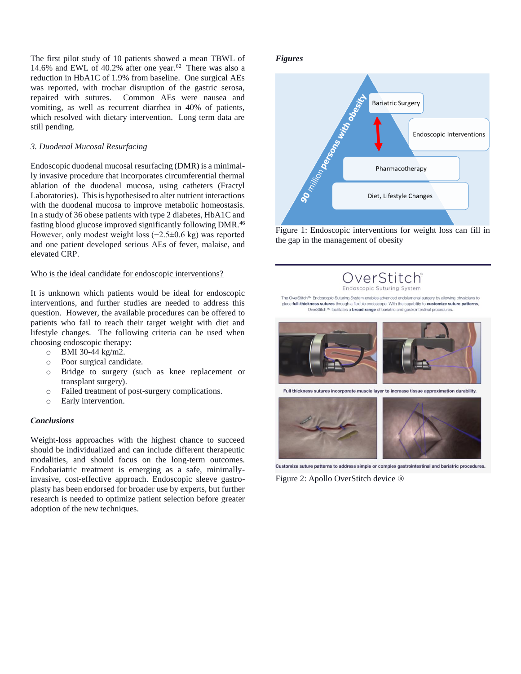The first pilot study of 10 patients showed a mean TBWL of 14.6% and EWL of 40.2% after one year. $62$  There was also a reduction in HbA1C of 1.9% from baseline. One surgical AEs was reported, with trochar disruption of the gastric serosa, repaired with sutures. Common AEs were nausea and vomiting, as well as recurrent diarrhea in 40% of patients, which resolved with dietary intervention. Long term data are still pending.

## *3. Duodenal Mucosal Resurfacing*

Endoscopic duodenal mucosal resurfacing (DMR) is a minimally invasive procedure that incorporates circumferential thermal ablation of the duodenal mucosa, using catheters (Fractyl Laboratories). This is hypothesised to alter nutrient interactions with the duodenal mucosa to improve metabolic homeostasis. In a study of 36 obese patients with type 2 diabetes, HbA1C and fasting blood glucose improved significantly following DMR.<sup>46</sup> However, only modest weight loss (−2.5±0.6 kg) was reported and one patient developed serious AEs of fever, malaise, and elevated CRP.

## Who is the ideal candidate for endoscopic interventions?

It is unknown which patients would be ideal for endoscopic interventions, and further studies are needed to address this question. However, the available procedures can be offered to patients who fail to reach their target weight with diet and lifestyle changes. The following criteria can be used when choosing endoscopic therapy:

- o BMI 30-44 kg/m2.
- o Poor surgical candidate.
- o Bridge to surgery (such as knee replacement or transplant surgery).
- o Failed treatment of post-surgery complications.
- o Early intervention.

## *Conclusions*

Weight-loss approaches with the highest chance to succeed should be individualized and can include different therapeutic modalities, and should focus on the long-term outcomes. Endobariatric treatment is emerging as a safe, minimallyinvasive, cost-effective approach. Endoscopic sleeve gastroplasty has been endorsed for broader use by experts, but further research is needed to optimize patient selection before greater adoption of the new techniques.

#### *Figures*



Figure 1: Endoscopic interventions for weight loss can fill in the gap in the management of obesity

> OverStitch Endoscopic Suturing System

The OverStitch™ Endoscopic Suturing System enables advanced endolumenal surgery by allowing physicians to place full-thickness sutures through a flexible endoscope. With the capability to customize suture patterns, OverStitch™ facilitates a **broad range** of bariatric and gastrointestinal procedures.



Customize suture patterns to address simple or complex gastrointestinal and bariatric procedures.

Figure 2: Apollo OverStitch device ®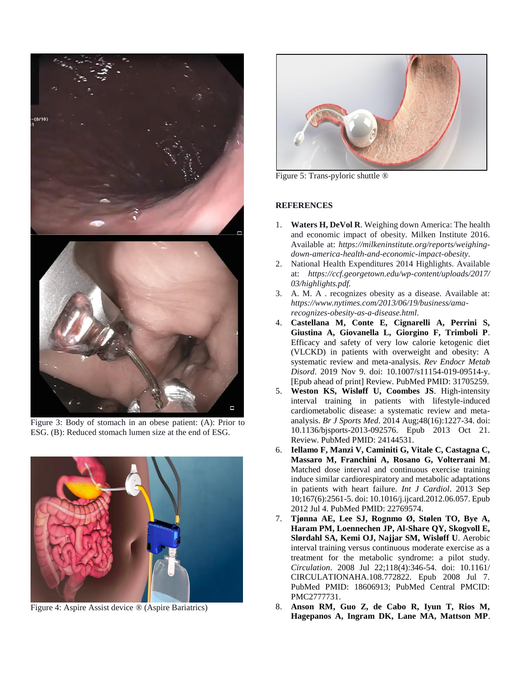

Figure 3: Body of stomach in an obese patient: (A): Prior to ESG. (B): Reduced stomach lumen size at the end of ESG.



Figure 4: Aspire Assist device ® (Aspire Bariatrics)



Figure 5: Trans-pyloric shuttle ®

## **REFERENCES**

- 1. **Waters H, DeVol R**. Weighing down America: The health and economic impact of obesity. Milken Institute 2016. Available at: *https://milkeninstitute.org/reports/weighingdown-america-health-and-economic-impact-obesity*.
- 2. National Health Expenditures 2014 Highlights. Available at: *https://ccf.georgetown.edu/wp-content/uploads/2017/ 03/highlights.pdf.*
- 3. A. M. A . recognizes obesity as a disease. Available at: *https://www.nytimes.com/2013/06/19/business/amarecognizes-obesity-as-a-disease.html*.
- 4. **Castellana M, Conte E, Cignarelli A, Perrini S, Giustina A, Giovanella L, Giorgino F, Trimboli P**. Efficacy and safety of very low calorie ketogenic diet (VLCKD) in patients with overweight and obesity: A systematic review and meta-analysis. *Rev Endocr Metab Disord*. 2019 Nov 9. doi: 10.1007/s11154-019-09514-y. [Epub ahead of print] Review. PubMed PMID: 31705259.
- 5. **Weston KS, Wisløff U, Coombes JS**. High-intensity interval training in patients with lifestyle-induced cardiometabolic disease: a systematic review and metaanalysis. *Br J Sports Med*. 2014 Aug;48(16):1227-34. doi: 10.1136/bjsports-2013-092576. Epub 2013 Oct 21. Review. PubMed PMID: 24144531.
- 6. **Iellamo F, Manzi V, Caminiti G, Vitale C, Castagna C, Massaro M, Franchini A, Rosano G, Volterrani M**. Matched dose interval and continuous exercise training induce similar cardiorespiratory and metabolic adaptations in patients with heart failure. *Int J Cardiol*. 2013 Sep 10;167(6):2561-5. doi: 10.1016/j.ijcard.2012.06.057. Epub 2012 Jul 4. PubMed PMID: 22769574.
- 7. **Tjønna AE, Lee SJ, Rognmo Ø, Stølen TO, Bye A, Haram PM, Loennechen JP, Al-Share QY, Skogvoll E, Slørdahl SA, Kemi OJ, Najjar SM, Wisløff U**. Aerobic interval training versus continuous moderate exercise as a treatment for the metabolic syndrome: a pilot study. *Circulation*. 2008 Jul 22;118(4):346-54. doi: 10.1161/ CIRCULATIONAHA.108.772822. Epub 2008 Jul 7. PubMed PMID: 18606913; PubMed Central PMCID: PMC2777731.
- 8. **Anson RM, Guo Z, de Cabo R, Iyun T, Rios M, Hagepanos A, Ingram DK, Lane MA, Mattson MP**.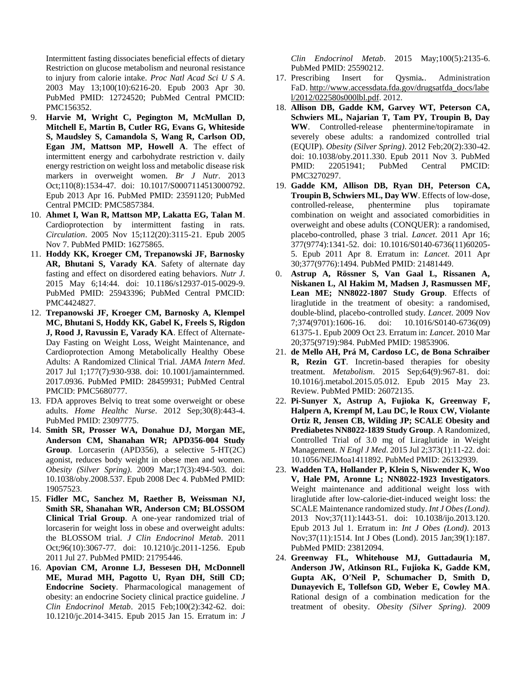Intermittent fasting dissociates beneficial effects of dietary Restriction on glucose metabolism and neuronal resistance to injury from calorie intake. *Proc Natl Acad Sci U S A*. 2003 May 13;100(10):6216-20. Epub 2003 Apr 30. PubMed PMID: 12724520; PubMed Central PMCID: PMC156352.

- 9. **Harvie M, Wright C, Pegington M, McMullan D, Mitchell E, Martin B, Cutler RG, Evans G, Whiteside S, Maudsley S, Camandola S, Wang R, Carlson OD, Egan JM, Mattson MP, Howell A**. The effect of intermittent energy and carbohydrate restriction v. daily energy restriction on weight loss and metabolic disease risk markers in overweight women. *Br J Nutr*. 2013 Oct;110(8):1534-47. doi: 10.1017/S0007114513000792. Epub 2013 Apr 16. PubMed PMID: 23591120; PubMed Central PMCID: PMC5857384.
- 10. **Ahmet I, Wan R, Mattson MP, Lakatta EG, Talan M**. Cardioprotection by intermittent fasting in rats. *Circulation*. 2005 Nov 15;112(20):3115-21. Epub 2005 Nov 7. PubMed PMID: 16275865.
- 11. **Hoddy KK, Kroeger CM, Trepanowski JF, Barnosky AR, Bhutani S, Varady KA**. Safety of alternate day fasting and effect on disordered eating behaviors. *Nutr J*. 2015 May 6;14:44. doi: 10.1186/s12937-015-0029-9. PubMed PMID: 25943396; PubMed Central PMCID: PMC4424827.
- 12. **Trepanowski JF, Kroeger CM, Barnosky A, Klempel MC, Bhutani S, Hoddy KK, Gabel K, Freels S, Rigdon J, Rood J, Ravussin E, Varady KA**. Effect of Alternate-Day Fasting on Weight Loss, Weight Maintenance, and Cardioprotection Among Metabolically Healthy Obese Adults: A Randomized Clinical Trial. *JAMA Intern Med*. 2017 Jul 1;177(7):930-938. doi: 10.1001/jamainternmed. 2017.0936. PubMed PMID: 28459931; PubMed Central PMCID: PMC5680777.
- 13. FDA approves Belviq to treat some overweight or obese adults. *Home Healthc Nurse*. 2012 Sep;30(8):443-4. PubMed PMID: 23097775.
- 14. **Smith SR, Prosser WA, Donahue DJ, Morgan ME, Anderson CM, Shanahan WR; APD356-004 Study Group**. Lorcaserin (APD356), a selective 5-HT(2C) agonist, reduces body weight in obese men and women. *Obesity (Silver Spring)*. 2009 Mar;17(3):494-503. doi: 10.1038/oby.2008.537. Epub 2008 Dec 4. PubMed PMID: 19057523.
- 15. **Fidler MC, Sanchez M, Raether B, Weissman NJ, Smith SR, Shanahan WR, Anderson CM; BLOSSOM Clinical Trial Group**. A one-year randomized trial of lorcaserin for weight loss in obese and overweight adults: the BLOSSOM trial. *J Clin Endocrinol Metab*. 2011 Oct;96(10):3067-77. doi: 10.1210/jc.2011-1256. Epub 2011 Jul 27. PubMed PMID: 21795446.
- 16. **Apovian CM, Aronne LJ, Bessesen DH, McDonnell ME, Murad MH, Pagotto U, Ryan DH, Still CD; Endocrine Society**. Pharmacological management of obesity: an endocrine Society clinical practice guideline. *J Clin Endocrinol Metab*. 2015 Feb;100(2):342-62. doi: 10.1210/jc.2014-3415. Epub 2015 Jan 15. Erratum in: *J*

*Clin Endocrinol Metab*. 2015 May;100(5):2135-6. PubMed PMID: 25590212.

- 17. Prescribing Insert for Qysmia*.*. Administration FaD. http://www.accessdata.fda.gov/drugsatfda\_docs/labe l/2012/022580s000lbl.pdf. 2012.
- 18. **Allison DB, Gadde KM, Garvey WT, Peterson CA, Schwiers ML, Najarian T, Tam PY, Troupin B, Day WW**. Controlled-release phentermine/topiramate in severely obese adults: a randomized controlled trial (EQUIP). *Obesity (Silver Spring)*. 2012 Feb;20(2):330-42. doi: 10.1038/oby.2011.330. Epub 2011 Nov 3. PubMed PMID: 22051941; PubMed Central PMCID: PMC3270297.
- 19. **Gadde KM, Allison DB, Ryan DH, Peterson CA, Troupin B, Schwiers ML, Day WW**. Effects of low-dose, controlled-release, phentermine plus topiramate combination on weight and associated comorbidities in overweight and obese adults (CONQUER): a randomised, placebo-controlled, phase 3 trial. *Lancet*. 2011 Apr 16; 377(9774):1341-52. doi: 10.1016/S0140-6736(11)60205- 5. Epub 2011 Apr 8. Erratum in: *Lancet*. 2011 Apr 30;377(9776):1494. PubMed PMID: 21481449.
- 0. **Astrup A, Rössner S, Van Gaal L, Rissanen A, Niskanen L, Al Hakim M, Madsen J, Rasmussen MF, Lean ME; NN8022-1807 Study Group**. Effects of liraglutide in the treatment of obesity: a randomised, double-blind, placebo-controlled study. *Lancet*. 2009 Nov 7;374(9701):1606-16. doi: 10.1016/S0140-6736(09) 61375-1. Epub 2009 Oct 23. Erratum in: *Lancet*. 2010 Mar 20;375(9719):984. PubMed PMID: 19853906.
- 21. **de Mello AH, Prá M, Cardoso LC, de Bona Schraiber R, Rezin GT**. Incretin-based therapies for obesity treatment. *Metabolism*. 2015 Sep;64(9):967-81. doi: 10.1016/j.metabol.2015.05.012. Epub 2015 May 23. Review. PubMed PMID: 26072135.
- 22. **Pi-Sunyer X, Astrup A, Fujioka K, Greenway F, Halpern A, Krempf M, Lau DC, le Roux CW, Violante Ortiz R, Jensen CB, Wilding JP; SCALE Obesity and Prediabetes NN8022-1839 Study Group**. A Randomized, Controlled Trial of 3.0 mg of Liraglutide in Weight Management. *N Engl J Med*. 2015 Jul 2;373(1):11-22. doi: 10.1056/NEJMoa1411892. PubMed PMID: 26132939.
- 23. **Wadden TA, Hollander P, Klein S, Niswender K, Woo V, Hale PM, Aronne L; NN8022-1923 Investigators**. Weight maintenance and additional weight loss with liraglutide after low-calorie-diet-induced weight loss: the SCALE Maintenance randomized study. *Int J Obes (Lond)*. 2013 Nov;37(11):1443-51. doi: 10.1038/ijo.2013.120. Epub 2013 Jul 1. Erratum in: *Int J Obes (Lond)*. 2013 Nov;37(11):1514. Int J Obes (Lond). 2015 Jan;39(1):187. PubMed PMID: 23812094.
- 24. **Greenway FL, Whitehouse MJ, Guttadauria M, Anderson JW, Atkinson RL, Fujioka K, Gadde KM, Gupta AK, O'Neil P, Schumacher D, Smith D, Dunayevich E, Tollefson GD, Weber E, Cowley MA**. Rational design of a combination medication for the treatment of obesity. *Obesity (Silver Spring)*. 2009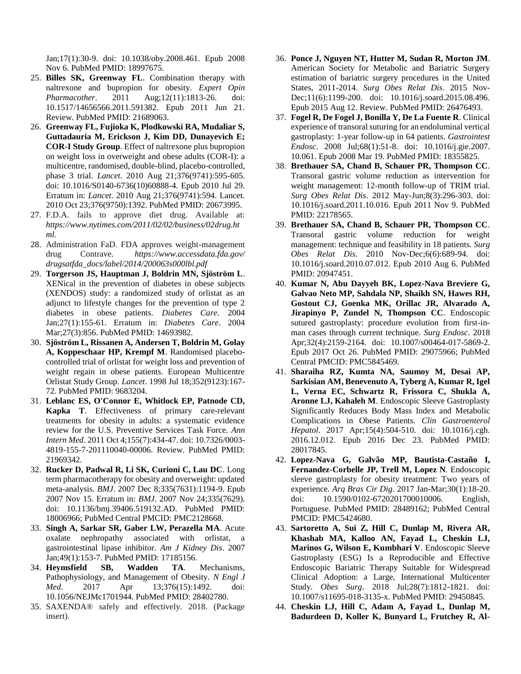Jan;17(1):30-9. doi: 10.1038/oby.2008.461. Epub 2008 Nov 6. PubMed PMID: 18997675.

- 25. **Billes SK, Greenway FL**. Combination therapy with naltrexone and bupropion for obesity. *Expert Opin Pharmacother*. 2011 Aug;12(11):1813-26. doi: 10.1517/14656566.2011.591382. Epub 2011 Jun 21. Review. PubMed PMID: 21689063.
- 26. **Greenway FL, Fujioka K, Plodkowski RA, Mudaliar S, Guttadauria M, Erickson J, Kim DD, Dunayevich E; COR-I Study Group**. Effect of naltrexone plus bupropion on weight loss in overweight and obese adults (COR-I): a multicentre, randomised, double-blind, placebo-controlled, phase 3 trial. *Lancet*. 2010 Aug 21;376(9741):595-605. doi: 10.1016/S0140-6736(10)60888-4. Epub 2010 Jul 29. Erratum in: *Lancet*. 2010 Aug 21;376(9741):594. Lancet. 2010 Oct 23;376(9750):1392. PubMed PMID: 20673995.
- 27. F.D.A. fails to approve diet drug. Available at: *https://www.nytimes.com/2011/02/02/business/02drug.ht ml*.
- 28. Administration FaD. FDA approves weight-management drug Contrave. *https://www.accessdata.fda.gov/ drugsatfda\_docs/label/2014/200063s000lbl.pdf*
- 29. **Torgerson JS, Hauptman J, Boldrin MN, Sjöström L**. XENical in the prevention of diabetes in obese subjects (XENDOS) study: a randomized study of orlistat as an adjunct to lifestyle changes for the prevention of type 2 diabetes in obese patients. *Diabetes Care*. 2004 Jan;27(1):155-61. Erratum in: *Diabetes Care*. 2004 Mar;27(3):856. PubMed PMID: 14693982.
- 30. **Sjöström L, Rissanen A, Andersen T, Boldrin M, Golay A, Koppeschaar HP, Krempf M**. Randomised placebocontrolled trial of orlistat for weight loss and prevention of weight regain in obese patients. European Multicentre Orlistat Study Group. *Lancet*. 1998 Jul 18;352(9123):167- 72. PubMed PMID: 9683204.
- 31. **Leblanc ES, O'Connor E, Whitlock EP, Patnode CD, Kapka T**. Effectiveness of primary care-relevant treatments for obesity in adults: a systematic evidence review for the U.S. Preventive Services Task Force. *Ann Intern Med*. 2011 Oct 4;155(7):434-47. doi: 10.7326/0003- 4819-155-7-201110040-00006. Review. PubMed PMID: 21969342.
- 32. **Rucker D, Padwal R, Li SK, Curioni C, Lau DC**. Long term pharmacotherapy for obesity and overweight: updated meta-analysis. *BMJ*. 2007 Dec 8;335(7631):1194-9. Epub 2007 Nov 15. Erratum in: *BMJ*. 2007 Nov 24;335(7629). doi: 10.1136/bmj.39406.519132.AD. PubMed PMID: 18006966; PubMed Central PMCID: PMC2128668.
- 33. **Singh A, Sarkar SR, Gaber LW, Perazella MA**. Acute oxalate nephropathy associated with orlistat, a gastrointestinal lipase inhibitor. *Am J Kidney Dis*. 2007 Jan;49(1):153-7. PubMed PMID: 17185156.
- 34. **Heymsfield SB, Wadden TA**. Mechanisms, Pathophysiology, and Management of Obesity. *N Engl J Med.* 2017 Apr 13;376(15):1492. doi: 10.1056/NEJMc1701944. PubMed PMID: 28402780.
- 35. SAXENDA® safely and effectively. 2018. (Package insert).
- 36. **Ponce J, Nguyen NT, Hutter M, Sudan R, Morton JM**. American Society for Metabolic and Bariatric Surgery estimation of bariatric surgery procedures in the United States, 2011-2014. *Surg Obes Relat Dis*. 2015 Nov-Dec;11(6):1199-200. doi: 10.1016/j.soard.2015.08.496. Epub 2015 Aug 12. Review. PubMed PMID: 26476493.
- 37. **Fogel R, De Fogel J, Bonilla Y, De La Fuente R**. Clinical experience of transoral suturing for an endoluminal vertical gastroplasty: 1-year follow-up in 64 patients. *Gastrointest Endosc*. 2008 Jul;68(1):51-8. doi: 10.1016/j.gie.2007. 10.061. Epub 2008 Mar 19. PubMed PMID: 18355825.
- 38. **Brethauer SA, Chand B, Schauer PR, Thompson CC**. Transoral gastric volume reduction as intervention for weight management: 12-month follow-up of TRIM trial. *Surg Obes Relat Dis*. 2012 May-Jun;8(3):296-303. doi: 10.1016/j.soard.2011.10.016. Epub 2011 Nov 9. PubMed PMID: 22178565.
- 39. **Brethauer SA, Chand B, Schauer PR, Thompson CC**. Transoral gastric volume reduction for weight management: technique and feasibility in 18 patients. *Surg Obes Relat Dis*. 2010 Nov-Dec;6(6):689-94. doi: 10.1016/j.soard.2010.07.012. Epub 2010 Aug 6. PubMed PMID: 20947451.
- 40. **Kumar N, Abu Dayyeh BK, Lopez-Nava Breviere G, Galvao Neto MP, Sahdala NP, Shaikh SN, Hawes RH, Gostout CJ, Goenka MK, Orillac JR, Alvarado A, Jirapinyo P, Zundel N, Thompson CC**. Endoscopic sutured gastroplasty: procedure evolution from first-inman cases through current technique. *Surg Endosc*. 2018 Apr;32(4):2159-2164. doi: 10.1007/s00464-017-5869-2. Epub 2017 Oct 26. PubMed PMID: 29075966; PubMed Central PMCID: PMC5845469.
- 41. **Sharaiha RZ, Kumta NA, Saumoy M, Desai AP, Sarkisian AM, Benevenuto A, Tyberg A, Kumar R, Igel L, Verna EC, Schwartz R, Frissora C, Shukla A, Aronne LJ, Kahaleh M**. Endoscopic Sleeve Gastroplasty Significantly Reduces Body Mass Index and Metabolic Complications in Obese Patients. *Clin Gastroenterol Hepatol*. 2017 Apr;15(4):504-510. doi: 10.1016/j.cgh. 2016.12.012. Epub 2016 Dec 23. PubMed PMID: 28017845.
- 42. **Lopez-Nava G, Galvão MP, Bautista-Castaño I, Fernandez-Corbelle JP, Trell M, Lopez N**. Endoscopic sleeve gastroplasty for obesity treatment: Two years of experience. *Arq Bras Cir Dig*. 2017 Jan-Mar;30(1):18-20. doi: 10.1590/0102-6720201700010006. English, Portuguese. PubMed PMID: 28489162; PubMed Central PMCID: PMC5424680.
- 43. **Sartoretto A, Sui Z, Hill C, Dunlap M, Rivera AR, Khashab MA, Kalloo AN, Fayad L, Cheskin LJ, Marinos G, Wilson E, Kumbhari V**. Endoscopic Sleeve Gastroplasty (ESG) Is a Reproducible and Effective Endoscopic Bariatric Therapy Suitable for Widespread Clinical Adoption: a Large, International Multicenter Study. *Obes Surg*. 2018 Jul;28(7):1812-1821. doi: 10.1007/s11695-018-3135-x. PubMed PMID: 29450845.
- 44. **Cheskin LJ, Hill C, Adam A, Fayad L, Dunlap M, Badurdeen D, Koller K, Bunyard L, Frutchey R, Al-**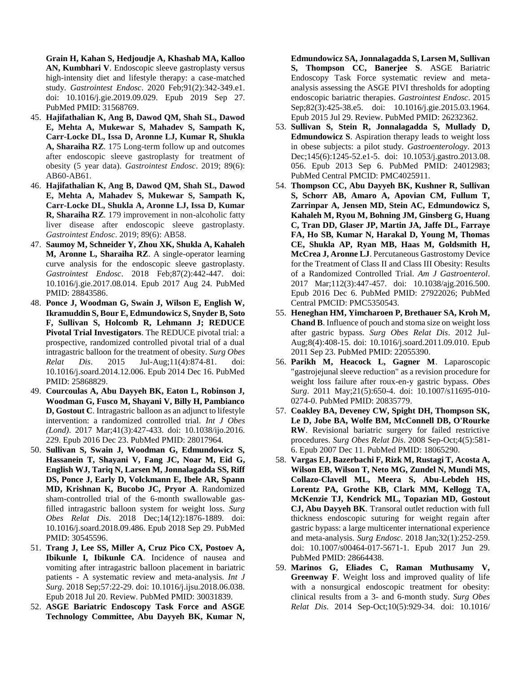**Grain H, Kahan S, Hedjoudje A, Khashab MA, Kalloo AN, Kumbhari V**. Endoscopic sleeve gastroplasty versus high-intensity diet and lifestyle therapy: a case-matched study. *Gastrointest Endosc*. 2020 Feb;91(2):342-349.e1. doi: 10.1016/j.gie.2019.09.029. Epub 2019 Sep 27. PubMed PMID: 31568769.

- 45. **Hajifathalian K, Ang B, Dawod QM, Shah SL, Dawod E, Mehta A, Mukewar S, Mahadev S, Sampath K, Carr-Locke DL, Issa D, Aronne LJ, Kumar R, Shukla A, Sharaiha RZ**. 175 Long-term follow up and outcomes after endoscopic sleeve gastroplasty for treatment of obesity (5 year data). *Gastrointest Endosc*. 2019; 89(6): AB60-AB61.
- 46. **Hajifathalian K, Ang B, Dawod QM, Shah SL, Dawod E, Mehta A, Mahadev S, Mukewar S, Sampath K, Carr-Locke DL, Shukla A, Aronne LJ, Issa D, Kumar R, Sharaiha RZ**. 179 improvement in non-alcoholic fatty liver disease after endoscopic sleeve gastroplasty. *Gastrointest Endosc*. 2019; 89(6): AB58.
- 47. **Saumoy M, Schneider Y, Zhou XK, Shukla A, Kahaleh M, Aronne L, Sharaiha RZ**. A single-operator learning curve analysis for the endoscopic sleeve gastroplasty. *Gastrointest Endosc*. 2018 Feb;87(2):442-447. doi: 10.1016/j.gie.2017.08.014. Epub 2017 Aug 24. PubMed PMID: 28843586.
- 48. **Ponce J, Woodman G, Swain J, Wilson E, English W, Ikramuddin S, Bour E, Edmundowicz S, Snyder B, Soto F, Sullivan S, Holcomb R, Lehmann J; REDUCE Pivotal Trial Investigators**. The REDUCE pivotal trial: a prospective, randomized controlled pivotal trial of a dual intragastric balloon for the treatment of obesity. *Surg Obes Relat Dis*. 2015 Jul-Aug;11(4):874-81. doi: 10.1016/j.soard.2014.12.006. Epub 2014 Dec 16. PubMed PMID: 25868829.
- 49. **Courcoulas A, Abu Dayyeh BK, Eaton L, Robinson J, Woodman G, Fusco M, Shayani V, Billy H, Pambianco D, Gostout C**. Intragastric balloon as an adjunct to lifestyle intervention: a randomized controlled trial. *Int J Obes (Lond)*. 2017 Mar;41(3):427-433. doi: 10.1038/ijo.2016. 229. Epub 2016 Dec 23. PubMed PMID: 28017964.
- 50. **Sullivan S, Swain J, Woodman G, Edmundowicz S, Hassanein T, Shayani V, Fang JC, Noar M, Eid G, English WJ, Tariq N, Larsen M, Jonnalagadda SS, Riff DS, Ponce J, Early D, Volckmann E, Ibele AR, Spann MD, Krishnan K, Bucobo JC, Pryor A**. Randomized sham-controlled trial of the 6-month swallowable gasfilled intragastric balloon system for weight loss. *Surg Obes Relat Dis*. 2018 Dec;14(12):1876-1889. doi: 10.1016/j.soard.2018.09.486. Epub 2018 Sep 29. PubMed PMID: 30545596.
- 51. **Trang J, Lee SS, Miller A, Cruz Pico CX, Postoev A, Ibikunle I, Ibikunle CA**. Incidence of nausea and vomiting after intragastric balloon placement in bariatric patients - A systematic review and meta-analysis. *Int J Surg*. 2018 Sep;57:22-29. doi: 10.1016/j.ijsu.2018.06.038. Epub 2018 Jul 20. Review. PubMed PMID: 30031839.
- 52. **ASGE Bariatric Endoscopy Task Force and ASGE Technology Committee, Abu Dayyeh BK, Kumar N,**

**Edmundowicz SA, Jonnalagadda S, Larsen M, Sullivan S, Thompson CC, Banerjee S**. ASGE Bariatric Endoscopy Task Force systematic review and metaanalysis assessing the ASGE PIVI thresholds for adopting endoscopic bariatric therapies. *Gastrointest Endosc*. 2015 Sep;82(3):425-38.e5. doi: 10.1016/j.gie.2015.03.1964. Epub 2015 Jul 29. Review. PubMed PMID: 26232362.

- 53. **Sullivan S, Stein R, Jonnalagadda S, Mullady D, Edmundowicz S**. Aspiration therapy leads to weight loss in obese subjects: a pilot study. *Gastroenterology*. 2013 Dec;145(6):1245-52.e1-5. doi: 10.1053/j.gastro.2013.08. 056. Epub 2013 Sep 6. PubMed PMID: 24012983; PubMed Central PMCID: PMC4025911.
- 54. **Thompson CC, Abu Dayyeh BK, Kushner R, Sullivan S, Schorr AB, Amaro A, Apovian CM, Fullum T, Zarrinpar A, Jensen MD, Stein AC, Edmundowicz S, Kahaleh M, Ryou M, Bohning JM, Ginsberg G, Huang C, Tran DD, Glaser JP, Martin JA, Jaffe DL, Farraye FA, Ho SB, Kumar N, Harakal D, Young M, Thomas CE, Shukla AP, Ryan MB, Haas M, Goldsmith H, McCrea J, Aronne LJ**. Percutaneous Gastrostomy Device for the Treatment of Class II and Class III Obesity: Results of a Randomized Controlled Trial. *Am J Gastroenterol*. 2017 Mar;112(3):447-457. doi: 10.1038/ajg.2016.500. Epub 2016 Dec 6. PubMed PMID: 27922026; PubMed Central PMCID: PMC5350543.
- 55. **Heneghan HM, Yimcharoen P, Brethauer SA, Kroh M, Chand B**. Influence of pouch and stoma size on weight loss after gastric bypass. *Surg Obes Relat Dis*. 2012 Jul-Aug;8(4):408-15. doi: 10.1016/j.soard.2011.09.010. Epub 2011 Sep 23. PubMed PMID: 22055390.
- 56. **Parikh M, Heacock L, Gagner M**. Laparoscopic "gastrojejunal sleeve reduction" as a revision procedure for weight loss failure after roux-en-y gastric bypass. *Obes Surg*. 2011 May;21(5):650-4. doi: 10.1007/s11695-010- 0274-0. PubMed PMID: 20835779.
- 57. **Coakley BA, Deveney CW, Spight DH, Thompson SK, Le D, Jobe BA, Wolfe BM, McConnell DB, O'Rourke RW**. Revisional bariatric surgery for failed restrictive procedures. *Surg Obes Relat Dis*. 2008 Sep-Oct;4(5):581- 6. Epub 2007 Dec 11. PubMed PMID: 18065290.
- 58. **Vargas EJ, Bazerbachi F, Rizk M, Rustagi T, Acosta A, Wilson EB, Wilson T, Neto MG, Zundel N, Mundi MS, Collazo-Clavell ML, Meera S, Abu-Lebdeh HS, Lorentz PA, Grothe KB, Clark MM, Kellogg TA, McKenzie TJ, Kendrick ML, Topazian MD, Gostout CJ, Abu Dayyeh BK**. Transoral outlet reduction with full thickness endoscopic suturing for weight regain after gastric bypass: a large multicenter international experience and meta-analysis. *Surg Endosc*. 2018 Jan;32(1):252-259. doi: 10.1007/s00464-017-5671-1. Epub 2017 Jun 29. PubMed PMID: 28664438.
- 59. **Marinos G, Eliades C, Raman Muthusamy V, Greenway F**. Weight loss and improved quality of life with a nonsurgical endoscopic treatment for obesity: clinical results from a 3- and 6-month study. *Surg Obes Relat Dis*. 2014 Sep-Oct;10(5):929-34. doi: 10.1016/